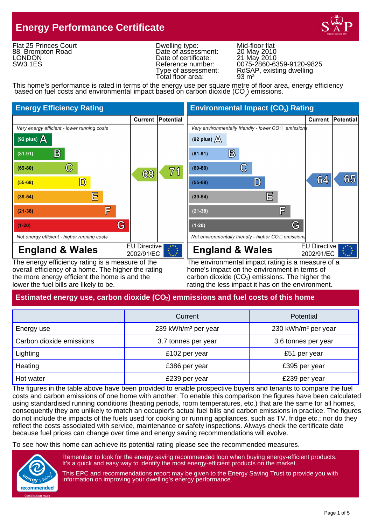# **Energy Performance Certificate**



Flat 25 Princes Court 88, Brompton Road **LONDON** SW3 1ES

Dwelling type: Mid-floor flat<br>
Date of assessment: 20 May 2010<br>
Date of certificate: 21 May 2010 Date of assessment: Date of certificate:<br>Reference number: Total floor area:

Reference number: 0075-2860-6359-9120-9825 Type of assessment: RdSAP, existing dwelling<br>Total floor area: 93 m<sup>2</sup>

This home's performance is rated in terms of the energy use per square metre of floor area, energy efficiency based on fuel costs and environmental impact based on carbon dioxide  $(CO<sub>2</sub>)$  emissions.



overall efficiency of a home. The higher the rating home's impact on the environment in terms of the more energy efficient the home is and the carbon dioxide  $(CO<sub>2</sub>)$  emissions. The higher the lower the fuel bills are likely to be. The rating the less impact it has on the environment.

The energy efficiency rating is a measure of the The environmental impact rating is a measure of a

# **Estimated energy use, carbon dioxide (CO<sub>2</sub>) emmissions and fuel costs of this home**

|                          | Current                         | Potential                       |
|--------------------------|---------------------------------|---------------------------------|
| Energy use               | 239 kWh/m <sup>2</sup> per year | 230 kWh/m <sup>2</sup> per year |
| Carbon dioxide emissions | 3.7 tonnes per year             | 3.6 tonnes per year             |
| Lighting                 | £102 per year                   | £51 per year                    |
| Heating                  | £386 per year                   | £395 per year                   |
| Hot water                | £239 per year                   | £239 per year                   |

The figures in the table above have been provided to enable prospective buyers and tenants to compare the fuel costs and carbon emissions of one home with another. To enable this comparison the figures have been calculated using standardised running conditions (heating periods, room temperatures, etc.) that are the same for all homes, consequently they are unlikely to match an occupier's actual fuel bills and carbon emissions in practice. The figures do not include the impacts of the fuels used for cooking or running appliances, such as TV, fridge etc.; nor do they reflect the costs associated with service, maintenance or safety inspections. Always check the certificate date because fuel prices can change over time and energy saving recommendations will evolve.

To see how this home can achieve its potential rating please see the recommended measures.



Remember to look for the energy saving recommended logo when buying energy-efficient products. It's a quick and easy way to identify the most energy-efficient products on the market.

This EPC and recommendations report may be given to the Energy Saving Trust to provide you with information on improving your dwelling's energy performance.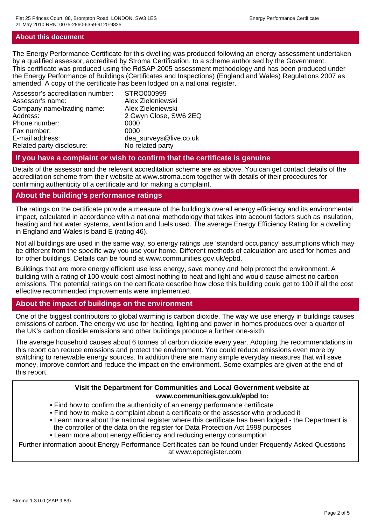#### **About this document**

The Energy Performance Certificate for this dwelling was produced following an energy assessment undertaken by a qualified assessor, accredited by Stroma Certification, to a scheme authorised by the Government. This certificate was produced using the RdSAP 2005 assessment methodology and has been produced under the Energy Performance of Buildings (Certificates and Inspections) (England and Wales) Regulations 2007 as amended. A copy of the certificate has been lodged on a national register.

| Assessor's accreditation number: | STRO000999             |
|----------------------------------|------------------------|
| Assessor's name:                 | Alex Zieleniewski      |
| Company name/trading name:       | Alex Zieleniewski      |
| Address:                         | 2 Gwyn Close, SW6 2EQ  |
| Phone number:                    | 0000                   |
| Fax number:                      | 0000                   |
| E-mail address:                  | dea_surveys@live.co.uk |
| Related party disclosure:        | No related party       |
|                                  |                        |

#### **If you have a complaint or wish to confirm that the certificate is genuine**

Details of the assessor and the relevant accreditation scheme are as above. You can get contact details of the accreditation scheme from their website at www.stroma.com together with details of their procedures for confirming authenticity of a certificate and for making a complaint.

#### **About the building's performance ratings**

The ratings on the certificate provide a measure of the building's overall energy efficiency and its environmental impact, calculated in accordance with a national methodology that takes into account factors such as insulation, heating and hot water systems, ventilation and fuels used. The average Energy Efficiency Rating for a dwelling in England and Wales is band E (rating 46).

Not all buildings are used in the same way, so energy ratings use 'standard occupancy' assumptions which may be different from the specific way you use your home. Different methods of calculation are used for homes and for other buildings. Details can be found at www.communities.gov.uk/epbd.

Buildings that are more energy efficient use less energy, save money and help protect the environment. A building with a rating of 100 would cost almost nothing to heat and light and would cause almost no carbon emissions. The potential ratings on the certificate describe how close this building could get to 100 if all the cost effective recommended improvements were implemented.

# **About the impact of buildings on the environment**

One of the biggest contributors to global warming is carbon dioxide. The way we use energy in buildings causes emissions of carbon. The energy we use for heating, lighting and power in homes produces over a quarter of the UK's carbon dioxide emissions and other buildings produce a further one-sixth.

The average household causes about 6 tonnes of carbon dioxide every year. Adopting the recommendations in this report can reduce emissions and protect the environment. You could reduce emissions even more by switching to renewable energy sources. In addition there are many simple everyday measures that will save money, improve comfort and reduce the impact on the environment. Some examples are given at the end of this report.

#### **Visit the Department for Communities and Local Government website at www.communities.gov.uk/epbd to:**

- Find how to confirm the authenticity of an energy performance certificate
- Find how to make a complaint about a certificate or the assessor who produced it
- Learn more about the national register where this certificate has been lodged the Department is the controller of the data on the register for Data Protection Act 1998 purposes
- Learn more about energy efficiency and reducing energy consumption

Further information about Energy Performance Certificates can be found under Frequently Asked Questions at www.epcregister.com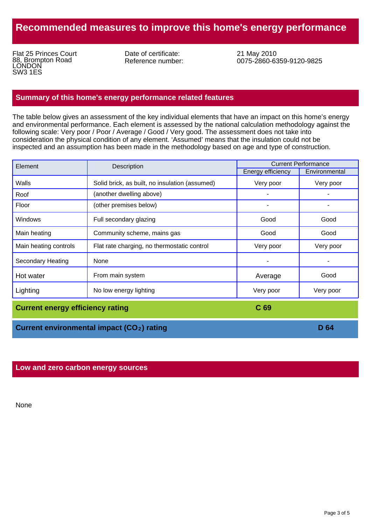# **Recommended measures to improve this home's energy performance**

Flat 25 Princes Court 88, Brompton Road **LONDON** SW3 1ES

Date of certificate: Reference number: 21 May 2010 0075-2860-6359-9120-9825

#### **Summary of this home's energy performance related features**

The table below gives an assessment of the key individual elements that have an impact on this home's energy and environmental performance. Each element is assessed by the national calculation methodology against the following scale: Very poor / Poor / Average / Good / Very good. The assessment does not take into consideration the physical condition of any element. 'Assumed' means that the insulation could not be inspected and an assumption has been made in the methodology based on age and type of construction.

| Element                  | Description                                    | <b>Current Performance</b> |               |
|--------------------------|------------------------------------------------|----------------------------|---------------|
|                          |                                                | <b>Energy efficiency</b>   | Environmental |
| Walls                    | Solid brick, as built, no insulation (assumed) | Very poor                  | Very poor     |
| Roof                     | (another dwelling above)                       |                            |               |
| Floor                    | (other premises below)                         |                            |               |
| <b>Windows</b>           | Full secondary glazing                         | Good                       | Good          |
| Main heating             | Community scheme, mains gas                    | Good                       | Good          |
| Main heating controls    | Flat rate charging, no thermostatic control    | Very poor                  | Very poor     |
| <b>Secondary Heating</b> | None                                           |                            |               |
| Hot water                | From main system                               | Average                    | Good          |
| Lighting                 | No low energy lighting                         | Very poor                  | Very poor     |

**Current energy efficiency rating <b>C** 69

**Current environmental impact (CO<sub>2</sub>) rating <b>2 2 2 D 2 D 64** 

**Low and zero carbon energy sources**

None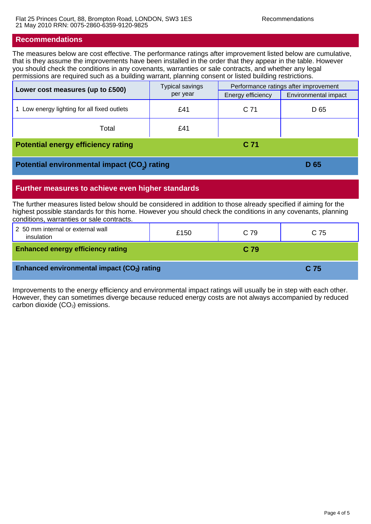#### **Recommendations**

The measures below are cost effective. The performance ratings after improvement listed below are cumulative, that is they assume the improvements have been installed in the order that they appear in the table. However you should check the conditions in any covenants, warranties or sale contracts, and whether any legal permissions are required such as a building warrant, planning consent or listed building restrictions.

| Lower cost measures (up to £500)                         | <b>Typical savings</b><br>per year | Performance ratings after improvement |                      |
|----------------------------------------------------------|------------------------------------|---------------------------------------|----------------------|
|                                                          |                                    | Energy efficiency                     | Environmental impact |
| Low energy lighting for all fixed outlets                | £41                                | C 71                                  | D 65                 |
| Total                                                    | £41                                |                                       |                      |
| <b>Potential energy efficiency rating</b>                |                                    | C 71                                  |                      |
| Potential environmental impact (CO <sub>2</sub> ) rating |                                    | D 65                                  |                      |

# **Further measures to achieve even higher standards**

The further measures listed below should be considered in addition to those already specified if aiming for the highest possible standards for this home. However you should check the conditions in any covenants, planning conditions, warranties or sale contracts.

| 2 50 mm internal or external wall<br>insulation | £150 | C 79 | C 75 |
|-------------------------------------------------|------|------|------|
| <b>Enhanced energy efficiency rating</b>        |      | C 79 |      |
| Enhanced environmental impact (CO2) rating      |      |      | C.75 |

Improvements to the energy efficiency and environmental impact ratings will usually be in step with each other. However, they can sometimes diverge because reduced energy costs are not always accompanied by reduced carbon dioxide  $(CO<sub>2</sub>)$  emissions.